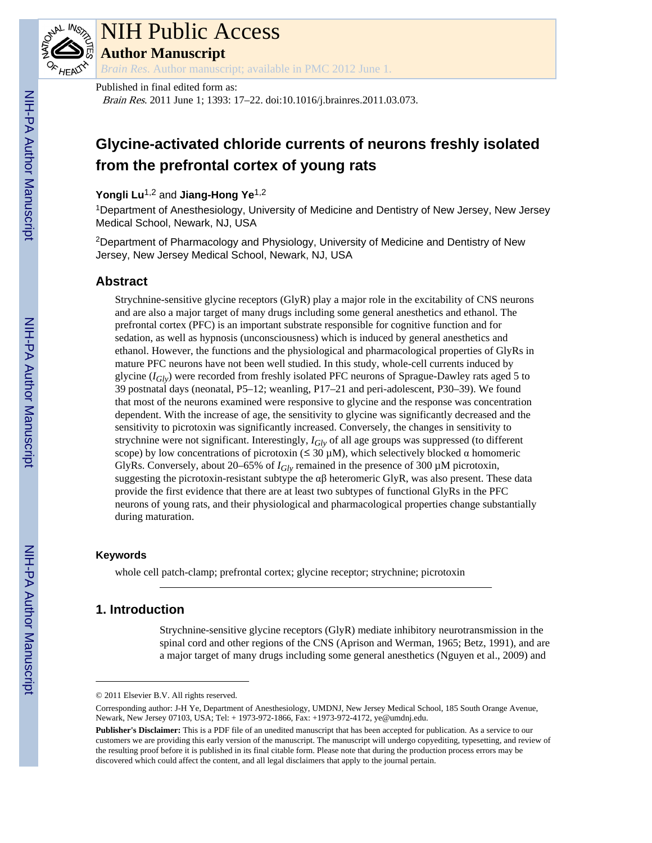

# NIH Public Access

**Author Manuscript**

*Brain Res*. Author manuscript; available in PMC 2012 June 1.

Published in final edited form as:

Brain Res. 2011 June 1; 1393: 17–22. doi:10.1016/j.brainres.2011.03.073.

# **Glycine-activated chloride currents of neurons freshly isolated from the prefrontal cortex of young rats**

**Yongli Lu**1,2 and **Jiang-Hong Ye**1,2

<sup>1</sup>Department of Anesthesiology, University of Medicine and Dentistry of New Jersey, New Jersey Medical School, Newark, NJ, USA

<sup>2</sup>Department of Pharmacology and Physiology, University of Medicine and Dentistry of New Jersey, New Jersey Medical School, Newark, NJ, USA

# **Abstract**

Strychnine-sensitive glycine receptors (GlyR) play a major role in the excitability of CNS neurons and are also a major target of many drugs including some general anesthetics and ethanol. The prefrontal cortex (PFC) is an important substrate responsible for cognitive function and for sedation, as well as hypnosis (unconsciousness) which is induced by general anesthetics and ethanol. However, the functions and the physiological and pharmacological properties of GlyRs in mature PFC neurons have not been well studied. In this study, whole-cell currents induced by glycine (*IGly*) were recorded from freshly isolated PFC neurons of Sprague-Dawley rats aged 5 to 39 postnatal days (neonatal, P5–12; weanling, P17–21 and peri-adolescent, P30–39). We found that most of the neurons examined were responsive to glycine and the response was concentration dependent. With the increase of age, the sensitivity to glycine was significantly decreased and the sensitivity to picrotoxin was significantly increased. Conversely, the changes in sensitivity to strychnine were not significant. Interestingly, *IGly* of all age groups was suppressed (to different scope) by low concentrations of picrotoxin ( $\leq 30 \mu M$ ), which selectively blocked  $\alpha$  homomeric GlyRs. Conversely, about 20–65% of *IGly* remained in the presence of 300 µM picrotoxin, suggesting the picrotoxin-resistant subtype the  $\alpha\beta$  heteromeric GlyR, was also present. These data provide the first evidence that there are at least two subtypes of functional GlyRs in the PFC neurons of young rats, and their physiological and pharmacological properties change substantially during maturation.

# **Keywords**

whole cell patch-clamp; prefrontal cortex; glycine receptor; strychnine; picrotoxin

# **1. Introduction**

Strychnine-sensitive glycine receptors (GlyR) mediate inhibitory neurotransmission in the spinal cord and other regions of the CNS (Aprison and Werman, 1965; Betz, 1991), and are a major target of many drugs including some general anesthetics (Nguyen et al., 2009) and

<sup>© 2011</sup> Elsevier B.V. All rights reserved.

Corresponding author: J-H Ye, Department of Anesthesiology, UMDNJ, New Jersey Medical School, 185 South Orange Avenue, Newark, New Jersey 07103, USA; Tel: + 1973-972-1866, Fax: +1973-972-4172, ye@umdnj.edu.

**Publisher's Disclaimer:** This is a PDF file of an unedited manuscript that has been accepted for publication. As a service to our customers we are providing this early version of the manuscript. The manuscript will undergo copyediting, typesetting, and review of the resulting proof before it is published in its final citable form. Please note that during the production process errors may be discovered which could affect the content, and all legal disclaimers that apply to the journal pertain.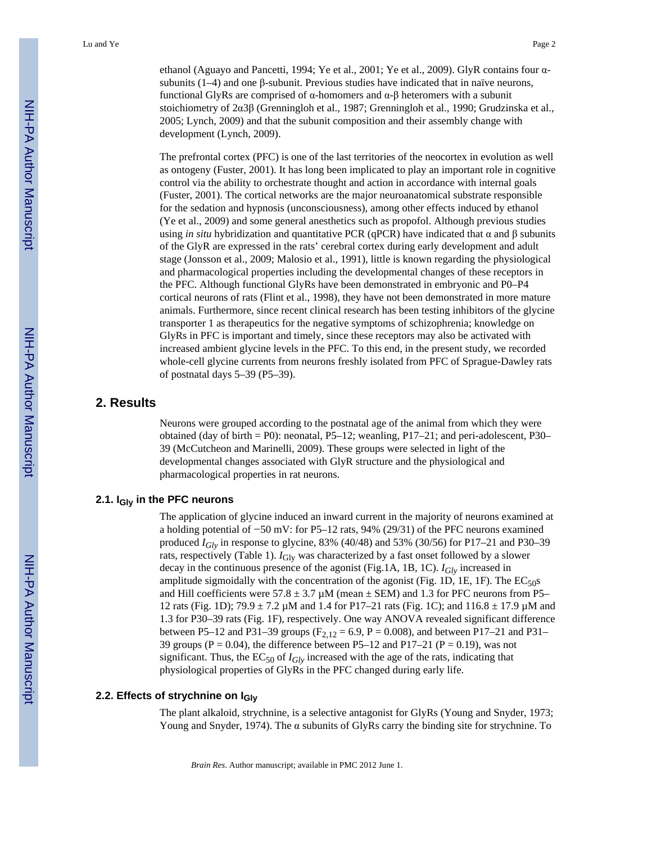ethanol (Aguayo and Pancetti, 1994; Ye et al., 2001; Ye et al., 2009). GlyR contains four αsubunits (1–4) and one  $\beta$ -subunit. Previous studies have indicated that in naïve neurons, functional GlyRs are comprised of α-homomers and α-β heteromers with a subunit stoichiometry of 2α3β (Grenningloh et al., 1987; Grenningloh et al., 1990; Grudzinska et al., 2005; Lynch, 2009) and that the subunit composition and their assembly change with development (Lynch, 2009).

The prefrontal cortex (PFC) is one of the last territories of the neocortex in evolution as well as ontogeny (Fuster, 2001). It has long been implicated to play an important role in cognitive control via the ability to orchestrate thought and action in accordance with internal goals (Fuster, 2001). The cortical networks are the major neuroanatomical substrate responsible for the sedation and hypnosis (unconsciousness), among other effects induced by ethanol (Ye et al., 2009) and some general anesthetics such as propofol. Although previous studies using *in situ* hybridization and quantitative PCR (qPCR) have indicated that α and β subunits of the GlyR are expressed in the rats' cerebral cortex during early development and adult stage (Jonsson et al., 2009; Malosio et al., 1991), little is known regarding the physiological and pharmacological properties including the developmental changes of these receptors in the PFC. Although functional GlyRs have been demonstrated in embryonic and P0–P4 cortical neurons of rats (Flint et al., 1998), they have not been demonstrated in more mature animals. Furthermore, since recent clinical research has been testing inhibitors of the glycine transporter 1 as therapeutics for the negative symptoms of schizophrenia; knowledge on GlyRs in PFC is important and timely, since these receptors may also be activated with increased ambient glycine levels in the PFC. To this end, in the present study, we recorded whole-cell glycine currents from neurons freshly isolated from PFC of Sprague-Dawley rats of postnatal days 5–39 (P5–39).

# **2. Results**

Neurons were grouped according to the postnatal age of the animal from which they were obtained (day of birth  $=$  P0): neonatal, P5–12; weanling, P17–21; and peri-adolescent, P30– 39 (McCutcheon and Marinelli, 2009). These groups were selected in light of the developmental changes associated with GlyR structure and the physiological and pharmacological properties in rat neurons.

#### **2.1. IGly in the PFC neurons**

The application of glycine induced an inward current in the majority of neurons examined at a holding potential of −50 mV: for P5–12 rats, 94% (29/31) of the PFC neurons examined produced *IGly* in response to glycine, 83% (40/48) and 53% (30/56) for P17–21 and P30–39 rats, respectively (Table 1).  $I_{\text{Gly}}$  was characterized by a fast onset followed by a slower decay in the continuous presence of the agonist (Fig.1A, 1B, 1C). *IGly* increased in amplitude sigmoidally with the concentration of the agonist (Fig. 1D, 1E, 1F). The  $EC_{50}$ s and Hill coefficients were  $57.8 \pm 3.7 \mu$ M (mean  $\pm$  SEM) and 1.3 for PFC neurons from P5– 12 rats (Fig. 1D); 79.9 ± 7.2 µM and 1.4 for P17–21 rats (Fig. 1C); and 116.8 ± 17.9 µM and 1.3 for P30–39 rats (Fig. 1F), respectively. One way ANOVA revealed significant difference between P5–12 and P31–39 groups ( $F_{2,12} = 6.9$ , P = 0.008), and between P17–21 and P31– 39 groups ( $P = 0.04$ ), the difference between P5–12 and P17–21 ( $P = 0.19$ ), was not significant. Thus, the  $EC_{50}$  of  $I_{Glv}$  increased with the age of the rats, indicating that physiological properties of GlyRs in the PFC changed during early life.

## **2.2. Effects of strychnine on IGly**

The plant alkaloid, strychnine, is a selective antagonist for GlyRs (Young and Snyder, 1973; Young and Snyder, 1974). The  $\alpha$  subunits of GlyRs carry the binding site for strychnine. To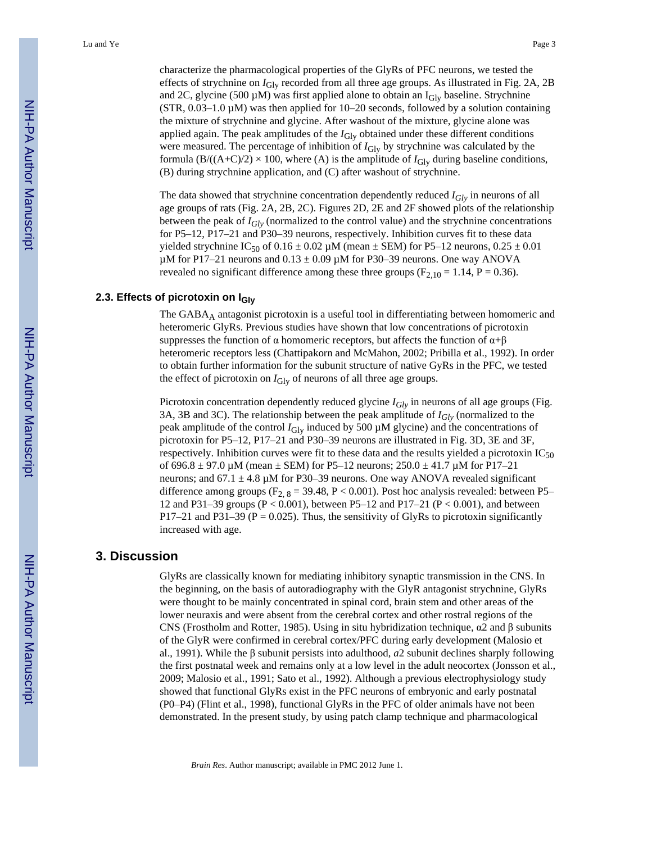characterize the pharmacological properties of the GlyRs of PFC neurons, we tested the effects of strychnine on  $I_{\text{Giv}}$  recorded from all three age groups. As illustrated in Fig. 2A, 2B and 2C, glycine (500  $\mu$ M) was first applied alone to obtain an I<sub>Gly</sub> baseline. Strychnine  $(STR, 0.03-1.0 \mu M)$  was then applied for 10–20 seconds, followed by a solution containing the mixture of strychnine and glycine. After washout of the mixture, glycine alone was applied again. The peak amplitudes of the *I*<sub>Gly</sub> obtained under these different conditions were measured. The percentage of inhibition of  $I_{\text{Giv}}$  by strychnine was calculated by the formula  $(B/((A+C)/2) \times 100$ , where (A) is the amplitude of  $I_{\text{Gly}}$  during baseline conditions, (B) during strychnine application, and (C) after washout of strychnine.

The data showed that strychnine concentration dependently reduced *IGly* in neurons of all age groups of rats (Fig. 2A, 2B, 2C). Figures 2D, 2E and 2F showed plots of the relationship between the peak of *IGly* (normalized to the control value) and the strychnine concentrations for P5–12, P17–21 and P30–39 neurons, respectively. Inhibition curves fit to these data yielded strychnine IC<sub>50</sub> of  $0.16 \pm 0.02 \mu$ M (mean  $\pm$  SEM) for P5–12 neurons,  $0.25 \pm 0.01$  $\mu$ M for P17–21 neurons and 0.13  $\pm$  0.09  $\mu$ M for P30–39 neurons. One way ANOVA revealed no significant difference among these three groups ( $F_{2,10} = 1.14$ ,  $P = 0.36$ ).

#### **2.3. Effects of picrotoxin on IGly**

The GABA<sub>A</sub> antagonist picrotoxin is a useful tool in differentiating between homomeric and heteromeric GlyRs. Previous studies have shown that low concentrations of picrotoxin suppresses the function of  $\alpha$  homomeric receptors, but affects the function of  $\alpha + \beta$ heteromeric receptors less (Chattipakorn and McMahon, 2002; Pribilla et al., 1992). In order to obtain further information for the subunit structure of native GyRs in the PFC, we tested the effect of picrotoxin on  $I_{\text{Glv}}$  of neurons of all three age groups.

Picrotoxin concentration dependently reduced glycine *I<sub>Gly</sub>* in neurons of all age groups (Fig. 3A, 3B and 3C). The relationship between the peak amplitude of *IGly* (normalized to the peak amplitude of the control  $I_{\text{Gly}}$  induced by 500  $\mu$ M glycine) and the concentrations of picrotoxin for P5–12, P17–21 and P30–39 neurons are illustrated in Fig. 3D, 3E and 3F, respectively. Inhibition curves were fit to these data and the results yielded a picrotoxin  $IC_{50}$ of  $696.8 \pm 97.0 \,\mu\text{M}$  (mean  $\pm$  SEM) for P5–12 neurons; 250.0  $\pm$  41.7  $\mu$ M for P17–21 neurons; and 67.1  $\pm$  4.8 µM for P30–39 neurons. One way ANOVA revealed significant difference among groups ( $F_{2, 8}$  = 39.48, P < 0.001). Post hoc analysis revealed: between P5– 12 and P31–39 groups ( $P < 0.001$ ), between P5–12 and P17–21 ( $P < 0.001$ ), and between P17–21 and P31–39 (P = 0.025). Thus, the sensitivity of GlyRs to picrotoxin significantly increased with age.

#### **3. Discussion**

GlyRs are classically known for mediating inhibitory synaptic transmission in the CNS. In the beginning, on the basis of autoradiography with the GlyR antagonist strychnine, GlyRs were thought to be mainly concentrated in spinal cord, brain stem and other areas of the lower neuraxis and were absent from the cerebral cortex and other rostral regions of the CNS (Frostholm and Rotter, 1985). Using in situ hybridization technique, α2 and β subunits of the GlyR were confirmed in cerebral cortex/PFC during early development (Malosio et al., 1991). While the β subunit persists into adulthood, *a*2 subunit declines sharply following the first postnatal week and remains only at a low level in the adult neocortex (Jonsson et al., 2009; Malosio et al., 1991; Sato et al., 1992). Although a previous electrophysiology study showed that functional GlyRs exist in the PFC neurons of embryonic and early postnatal (P0–P4) (Flint et al., 1998), functional GlyRs in the PFC of older animals have not been demonstrated. In the present study, by using patch clamp technique and pharmacological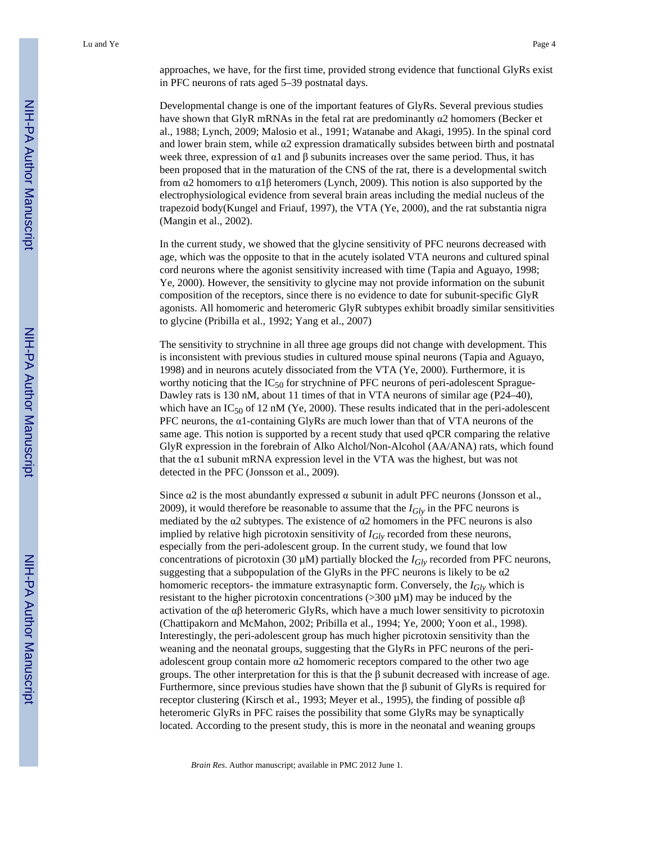Developmental change is one of the important features of GlyRs. Several previous studies have shown that GlyR mRNAs in the fetal rat are predominantly  $\alpha$ 2 homomers (Becker et al., 1988; Lynch, 2009; Malosio et al., 1991; Watanabe and Akagi, 1995). In the spinal cord and lower brain stem, while α2 expression dramatically subsides between birth and postnatal week three, expression of  $\alpha$ 1 and  $\beta$  subunits increases over the same period. Thus, it has been proposed that in the maturation of the CNS of the rat, there is a developmental switch from α2 homomers to α1β heteromers (Lynch, 2009). This notion is also supported by the electrophysiological evidence from several brain areas including the medial nucleus of the trapezoid body(Kungel and Friauf, 1997), the VTA (Ye, 2000), and the rat substantia nigra (Mangin et al., 2002).

In the current study, we showed that the glycine sensitivity of PFC neurons decreased with age, which was the opposite to that in the acutely isolated VTA neurons and cultured spinal cord neurons where the agonist sensitivity increased with time (Tapia and Aguayo, 1998; Ye, 2000). However, the sensitivity to glycine may not provide information on the subunit composition of the receptors, since there is no evidence to date for subunit-specific GlyR agonists. All homomeric and heteromeric GlyR subtypes exhibit broadly similar sensitivities to glycine (Pribilla et al., 1992; Yang et al., 2007)

The sensitivity to strychnine in all three age groups did not change with development. This is inconsistent with previous studies in cultured mouse spinal neurons (Tapia and Aguayo, 1998) and in neurons acutely dissociated from the VTA (Ye, 2000). Furthermore, it is worthy noticing that the  $IC_{50}$  for strychnine of PFC neurons of peri-adolescent Sprague-Dawley rats is 130 nM, about 11 times of that in VTA neurons of similar age (P24–40), which have an IC<sub>50</sub> of 12 nM (Ye, 2000). These results indicated that in the peri-adolescent PFC neurons, the α1-containing GlyRs are much lower than that of VTA neurons of the same age. This notion is supported by a recent study that used qPCR comparing the relative GlyR expression in the forebrain of Alko Alchol/Non-Alcohol (AA/ANA) rats, which found that the α1 subunit mRNA expression level in the VTA was the highest, but was not detected in the PFC (Jonsson et al., 2009).

Since  $\alpha$ 2 is the most abundantly expressed  $\alpha$  subunit in adult PFC neurons (Jonsson et al., 2009), it would therefore be reasonable to assume that the  $I_{Gly}$  in the PFC neurons is mediated by the  $\alpha$ 2 subtypes. The existence of  $\alpha$ 2 homomers in the PFC neurons is also implied by relative high picrotoxin sensitivity of *IGly* recorded from these neurons, especially from the peri-adolescent group. In the current study, we found that low concentrations of picrotoxin (30  $\mu$ M) partially blocked the  $I_{Glv}$  recorded from PFC neurons, suggesting that a subpopulation of the GlyRs in the PFC neurons is likely to be  $\alpha$ 2 homomeric receptors- the immature extrasynaptic form. Conversely, the *IGly* which is resistant to the higher picrotoxin concentrations ( $>300 \mu M$ ) may be induced by the activation of the  $\alpha\beta$  heteromeric GlyRs, which have a much lower sensitivity to picrotoxin (Chattipakorn and McMahon, 2002; Pribilla et al., 1994; Ye, 2000; Yoon et al., 1998). Interestingly, the peri-adolescent group has much higher picrotoxin sensitivity than the weaning and the neonatal groups, suggesting that the GlyRs in PFC neurons of the periadolescent group contain more α2 homomeric receptors compared to the other two age groups. The other interpretation for this is that the β subunit decreased with increase of age. Furthermore, since previous studies have shown that the β subunit of GlyRs is required for receptor clustering (Kirsch et al., 1993; Meyer et al., 1995), the finding of possible  $αβ$ heteromeric GlyRs in PFC raises the possibility that some GlyRs may be synaptically located. According to the present study, this is more in the neonatal and weaning groups

*Brain Res*. Author manuscript; available in PMC 2012 June 1.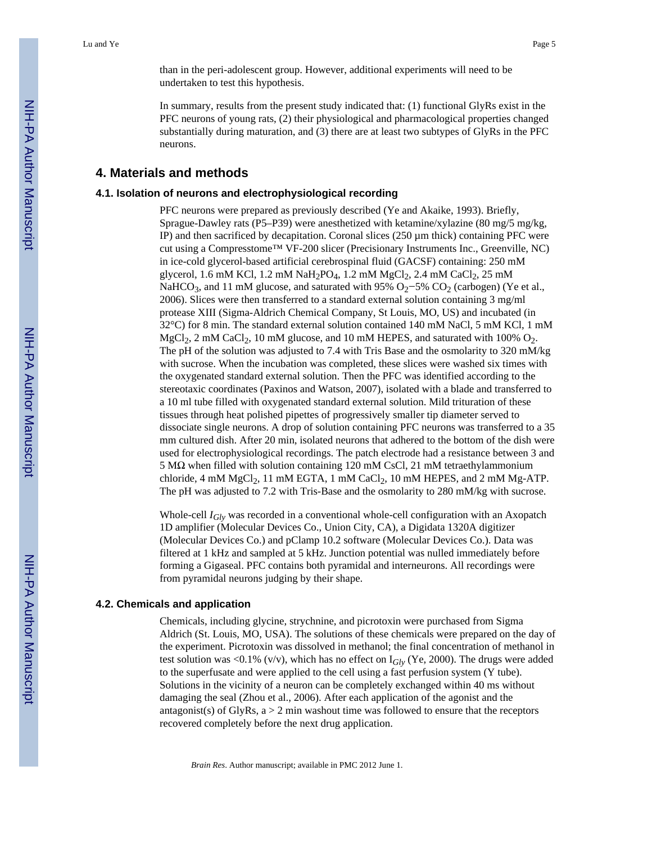than in the peri-adolescent group. However, additional experiments will need to be undertaken to test this hypothesis.

In summary, results from the present study indicated that: (1) functional GlyRs exist in the PFC neurons of young rats, (2) their physiological and pharmacological properties changed substantially during maturation, and (3) there are at least two subtypes of GlyRs in the PFC neurons.

# **4. Materials and methods**

#### **4.1. Isolation of neurons and electrophysiological recording**

PFC neurons were prepared as previously described (Ye and Akaike, 1993). Briefly, Sprague-Dawley rats (P5–P39) were anesthetized with ketamine/xylazine (80 mg/5 mg/kg, IP) and then sacrificed by decapitation. Coronal slices  $(250 \,\mu m)$  thick) containing PFC were cut using a Compresstome™ VF-200 slicer (Precisionary Instruments Inc., Greenville, NC) in ice-cold glycerol-based artificial cerebrospinal fluid (GACSF) containing: 250 mM glycerol, 1.6 mM KCl, 1.2 mM NaH<sub>2</sub>PO<sub>4</sub>, 1.2 mM MgCl<sub>2</sub>, 2.4 mM CaCl<sub>2</sub>, 25 mM NaHCO<sub>3</sub>, and 11 mM glucose, and saturated with 95% O<sub>2</sub>−5% CO<sub>2</sub> (carbogen) (Ye et al., 2006). Slices were then transferred to a standard external solution containing 3 mg/ml protease XIII (Sigma-Aldrich Chemical Company, St Louis, MO, US) and incubated (in 32°C) for 8 min. The standard external solution contained 140 mM NaCl, 5 mM KCl, 1 mM  $MgCl<sub>2</sub>$ , 2 mM CaCl<sub>2</sub>, 10 mM glucose, and 10 mM HEPES, and saturated with 100%  $O<sub>2</sub>$ . The pH of the solution was adjusted to 7.4 with Tris Base and the osmolarity to 320 mM/kg with sucrose. When the incubation was completed, these slices were washed six times with the oxygenated standard external solution. Then the PFC was identified according to the stereotaxic coordinates (Paxinos and Watson, 2007), isolated with a blade and transferred to a 10 ml tube filled with oxygenated standard external solution. Mild trituration of these tissues through heat polished pipettes of progressively smaller tip diameter served to dissociate single neurons. A drop of solution containing PFC neurons was transferred to a 35 mm cultured dish. After 20 min, isolated neurons that adhered to the bottom of the dish were used for electrophysiological recordings. The patch electrode had a resistance between 3 and 5 MΩ when filled with solution containing 120 mM CsCl, 21 mM tetraethylammonium chloride, 4 mM MgCl<sub>2</sub>, 11 mM EGTA, 1 mM CaCl<sub>2</sub>, 10 mM HEPES, and 2 mM Mg-ATP. The pH was adjusted to 7.2 with Tris-Base and the osmolarity to 280 mM/kg with sucrose.

Whole-cell *IGly* was recorded in a conventional whole-cell configuration with an Axopatch 1D amplifier (Molecular Devices Co., Union City, CA), a Digidata 1320A digitizer (Molecular Devices Co.) and pClamp 10.2 software (Molecular Devices Co.). Data was filtered at 1 kHz and sampled at 5 kHz. Junction potential was nulled immediately before forming a Gigaseal. PFC contains both pyramidal and interneurons. All recordings were from pyramidal neurons judging by their shape.

#### **4.2. Chemicals and application**

Chemicals, including glycine, strychnine, and picrotoxin were purchased from Sigma Aldrich (St. Louis, MO, USA). The solutions of these chemicals were prepared on the day of the experiment. Picrotoxin was dissolved in methanol; the final concentration of methanol in test solution was <0.1% (v/v), which has no effect on  $I_{Glv}$  (Ye, 2000). The drugs were added to the superfusate and were applied to the cell using a fast perfusion system (Y tube). Solutions in the vicinity of a neuron can be completely exchanged within 40 ms without damaging the seal (Zhou et al., 2006). After each application of the agonist and the antagonist(s) of GlyRs,  $a > 2$  min washout time was followed to ensure that the receptors recovered completely before the next drug application.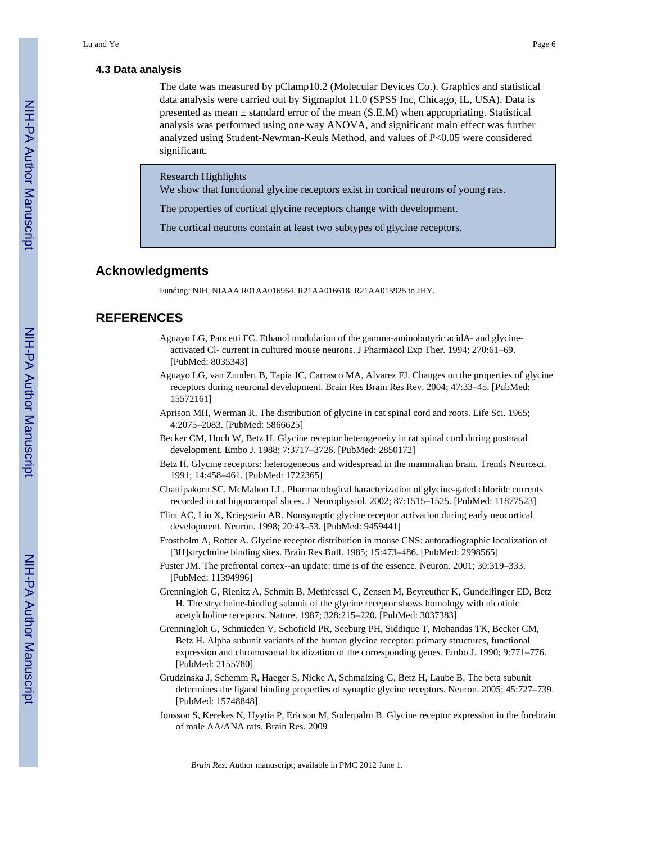#### **4.3 Data analysis**

The date was measured by pClamp10.2 (Molecular Devices Co.). Graphics and statistical data analysis were carried out by Sigmaplot 11.0 (SPSS Inc, Chicago, IL, USA). Data is presented as mean  $\pm$  standard error of the mean (S.E.M) when appropriating. Statistical analysis was performed using one way ANOVA, and significant main effect was further analyzed using Student-Newman-Keuls Method, and values of P<0.05 were considered significant.

#### Research Highlights

We show that functional glycine receptors exist in cortical neurons of young rats.

The properties of cortical glycine receptors change with development.

The cortical neurons contain at least two subtypes of glycine receptors.

### **Acknowledgments**

Funding: NIH, NIAAA R01AA016964, R21AA016618, R21AA015925 to JHY.

# **REFERENCES**

- Aguayo LG, Pancetti FC. Ethanol modulation of the gamma-aminobutyric acidA- and glycineactivated Cl- current in cultured mouse neurons. J Pharmacol Exp Ther. 1994; 270:61–69. [PubMed: 8035343]
- Aguayo LG, van Zundert B, Tapia JC, Carrasco MA, Alvarez FJ. Changes on the properties of glycine receptors during neuronal development. Brain Res Brain Res Rev. 2004; 47:33–45. [PubMed: 15572161]
- Aprison MH, Werman R. The distribution of glycine in cat spinal cord and roots. Life Sci. 1965; 4:2075–2083. [PubMed: 5866625]
- Becker CM, Hoch W, Betz H. Glycine receptor heterogeneity in rat spinal cord during postnatal development. Embo J. 1988; 7:3717–3726. [PubMed: 2850172]
- Betz H. Glycine receptors: heterogeneous and widespread in the mammalian brain. Trends Neurosci. 1991; 14:458–461. [PubMed: 1722365]
- Chattipakorn SC, McMahon LL. Pharmacological haracterization of glycine-gated chloride currents recorded in rat hippocampal slices. J Neurophysiol. 2002; 87:1515–1525. [PubMed: 11877523]
- Flint AC, Liu X, Kriegstein AR. Nonsynaptic glycine receptor activation during early neocortical development. Neuron. 1998; 20:43–53. [PubMed: 9459441]
- Frostholm A, Rotter A. Glycine receptor distribution in mouse CNS: autoradiographic localization of [3H]strychnine binding sites. Brain Res Bull. 1985; 15:473–486. [PubMed: 2998565]
- Fuster JM. The prefrontal cortex--an update: time is of the essence. Neuron. 2001; 30:319–333. [PubMed: 11394996]
- Grenningloh G, Rienitz A, Schmitt B, Methfessel C, Zensen M, Beyreuther K, Gundelfinger ED, Betz H. The strychnine-binding subunit of the glycine receptor shows homology with nicotinic acetylcholine receptors. Nature. 1987; 328:215–220. [PubMed: 3037383]
- Grenningloh G, Schmieden V, Schofield PR, Seeburg PH, Siddique T, Mohandas TK, Becker CM, Betz H. Alpha subunit variants of the human glycine receptor: primary structures, functional expression and chromosomal localization of the corresponding genes. Embo J. 1990; 9:771–776. [PubMed: 2155780]
- Grudzinska J, Schemm R, Haeger S, Nicke A, Schmalzing G, Betz H, Laube B. The beta subunit determines the ligand binding properties of synaptic glycine receptors. Neuron. 2005; 45:727–739. [PubMed: 15748848]
- Jonsson S, Kerekes N, Hyytia P, Ericson M, Soderpalm B. Glycine receptor expression in the forebrain of male AA/ANA rats. Brain Res. 2009

*Brain Res*. Author manuscript; available in PMC 2012 June 1.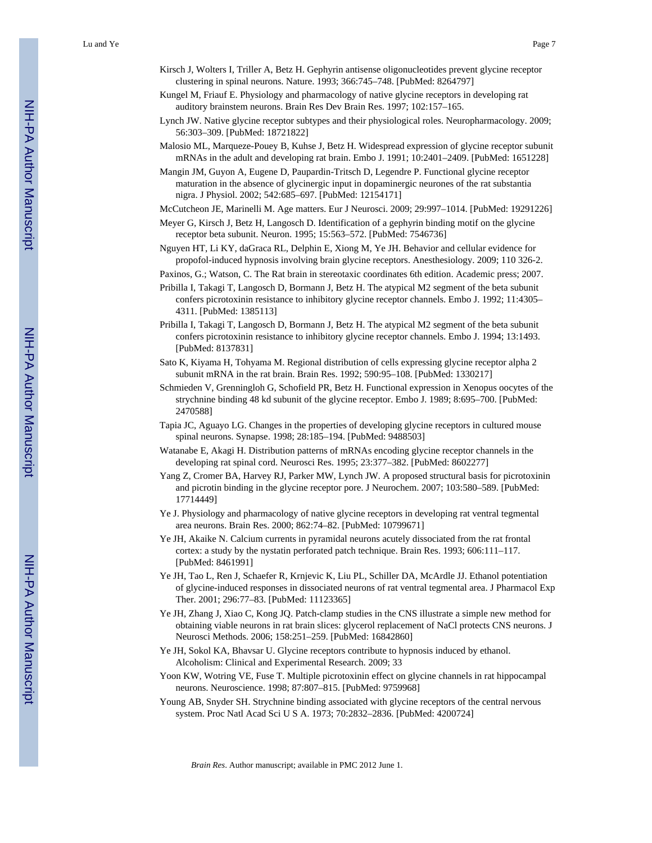Lu and Ye Page 7

- Kirsch J, Wolters I, Triller A, Betz H. Gephyrin antisense oligonucleotides prevent glycine receptor clustering in spinal neurons. Nature. 1993; 366:745–748. [PubMed: 8264797]
- Kungel M, Friauf E. Physiology and pharmacology of native glycine receptors in developing rat auditory brainstem neurons. Brain Res Dev Brain Res. 1997; 102:157–165.
- Lynch JW. Native glycine receptor subtypes and their physiological roles. Neuropharmacology. 2009; 56:303–309. [PubMed: 18721822]
- Malosio ML, Marqueze-Pouey B, Kuhse J, Betz H. Widespread expression of glycine receptor subunit mRNAs in the adult and developing rat brain. Embo J. 1991; 10:2401–2409. [PubMed: 1651228]
- Mangin JM, Guyon A, Eugene D, Paupardin-Tritsch D, Legendre P. Functional glycine receptor maturation in the absence of glycinergic input in dopaminergic neurones of the rat substantia nigra. J Physiol. 2002; 542:685–697. [PubMed: 12154171]
- McCutcheon JE, Marinelli M. Age matters. Eur J Neurosci. 2009; 29:997–1014. [PubMed: 19291226]
- Meyer G, Kirsch J, Betz H, Langosch D. Identification of a gephyrin binding motif on the glycine receptor beta subunit. Neuron. 1995; 15:563–572. [PubMed: 7546736]
- Nguyen HT, Li KY, daGraca RL, Delphin E, Xiong M, Ye JH. Behavior and cellular evidence for propofol-induced hypnosis involving brain glycine receptors. Anesthesiology. 2009; 110 326-2.
- Paxinos, G.; Watson, C. The Rat brain in stereotaxic coordinates 6th edition. Academic press; 2007.
- Pribilla I, Takagi T, Langosch D, Bormann J, Betz H. The atypical M2 segment of the beta subunit confers picrotoxinin resistance to inhibitory glycine receptor channels. Embo J. 1992; 11:4305– 4311. [PubMed: 1385113]
- Pribilla I, Takagi T, Langosch D, Bormann J, Betz H. The atypical M2 segment of the beta subunit confers picrotoxinin resistance to inhibitory glycine receptor channels. Embo J. 1994; 13:1493. [PubMed: 8137831]
- Sato K, Kiyama H, Tohyama M. Regional distribution of cells expressing glycine receptor alpha 2 subunit mRNA in the rat brain. Brain Res. 1992; 590:95–108. [PubMed: 1330217]
- Schmieden V, Grenningloh G, Schofield PR, Betz H. Functional expression in Xenopus oocytes of the strychnine binding 48 kd subunit of the glycine receptor. Embo J. 1989; 8:695–700. [PubMed: 2470588]
- Tapia JC, Aguayo LG. Changes in the properties of developing glycine receptors in cultured mouse spinal neurons. Synapse. 1998; 28:185–194. [PubMed: 9488503]
- Watanabe E, Akagi H. Distribution patterns of mRNAs encoding glycine receptor channels in the developing rat spinal cord. Neurosci Res. 1995; 23:377–382. [PubMed: 8602277]
- Yang Z, Cromer BA, Harvey RJ, Parker MW, Lynch JW. A proposed structural basis for picrotoxinin and picrotin binding in the glycine receptor pore. J Neurochem. 2007; 103:580–589. [PubMed: 17714449]
- Ye J. Physiology and pharmacology of native glycine receptors in developing rat ventral tegmental area neurons. Brain Res. 2000; 862:74–82. [PubMed: 10799671]
- Ye JH, Akaike N. Calcium currents in pyramidal neurons acutely dissociated from the rat frontal cortex: a study by the nystatin perforated patch technique. Brain Res. 1993; 606:111–117. [PubMed: 8461991]
- Ye JH, Tao L, Ren J, Schaefer R, Krnjevic K, Liu PL, Schiller DA, McArdle JJ. Ethanol potentiation of glycine-induced responses in dissociated neurons of rat ventral tegmental area. J Pharmacol Exp Ther. 2001; 296:77–83. [PubMed: 11123365]
- Ye JH, Zhang J, Xiao C, Kong JQ. Patch-clamp studies in the CNS illustrate a simple new method for obtaining viable neurons in rat brain slices: glycerol replacement of NaCl protects CNS neurons. J Neurosci Methods. 2006; 158:251–259. [PubMed: 16842860]
- Ye JH, Sokol KA, Bhavsar U. Glycine receptors contribute to hypnosis induced by ethanol. Alcoholism: Clinical and Experimental Research. 2009; 33
- Yoon KW, Wotring VE, Fuse T. Multiple picrotoxinin effect on glycine channels in rat hippocampal neurons. Neuroscience. 1998; 87:807–815. [PubMed: 9759968]
- Young AB, Snyder SH. Strychnine binding associated with glycine receptors of the central nervous system. Proc Natl Acad Sci U S A. 1973; 70:2832–2836. [PubMed: 4200724]

*Brain Res*. Author manuscript; available in PMC 2012 June 1.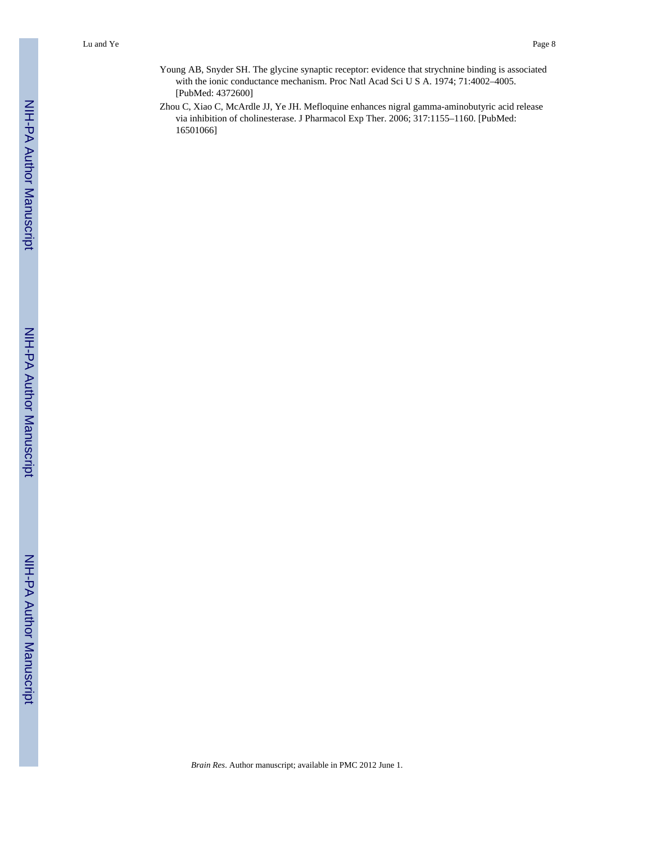- Young AB, Snyder SH. The glycine synaptic receptor: evidence that strychnine binding is associated with the ionic conductance mechanism. Proc Natl Acad Sci U S A. 1974; 71:4002–4005. [PubMed: 4372600]
- Zhou C, Xiao C, McArdle JJ, Ye JH. Mefloquine enhances nigral gamma-aminobutyric acid release via inhibition of cholinesterase. J Pharmacol Exp Ther. 2006; 317:1155–1160. [PubMed: 16501066]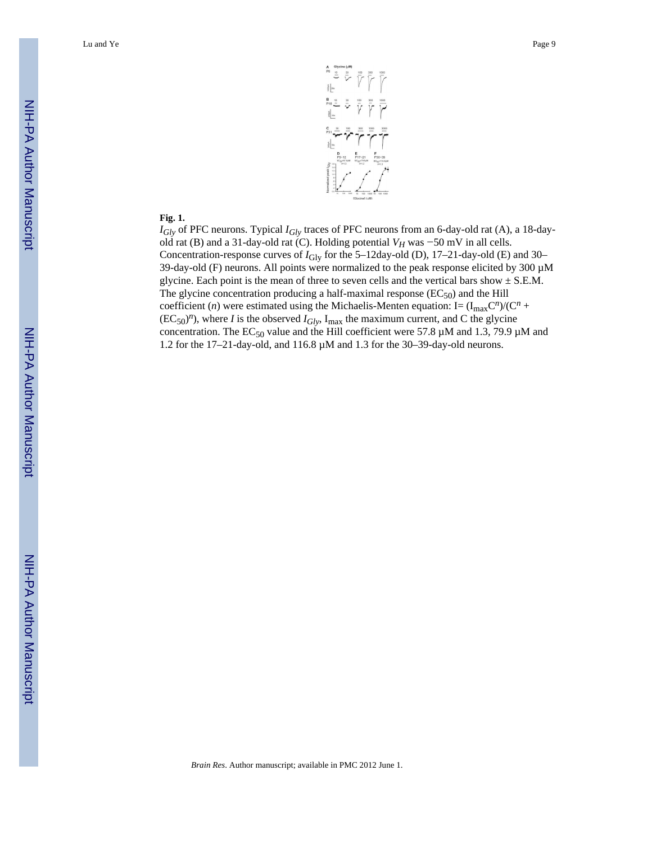

#### **Fig. 1.**

*IGly* of PFC neurons. Typical *IGly* traces of PFC neurons from an 6-day-old rat (A), a 18-dayold rat (B) and a 31-day-old rat (C). Holding potential *VH* was −50 mV in all cells. Concentration-response curves of  $I_{\text{Gly}}$  for the 5–12day-old (D), 17–21-day-old (E) and 30– 39-day-old (F) neurons. All points were normalized to the peak response elicited by 300 µM glycine. Each point is the mean of three to seven cells and the vertical bars show  $\pm$  S.E.M. The glycine concentration producing a half-maximal response  $(EC_{50})$  and the Hill coefficient (*n*) were estimated using the Michaelis-Menten equation: I=  $(I_{max}C^n)/(C^n +$  $(EC_{50})^n$ , where *I* is the observed  $I_{Gly}$ ,  $I_{max}$  the maximum current, and C the glycine concentration. The  $EC_{50}$  value and the Hill coefficient were 57.8  $\mu$ M and 1.3, 79.9  $\mu$ M and 1.2 for the 17–21-day-old, and 116.8 µM and 1.3 for the 30–39-day-old neurons.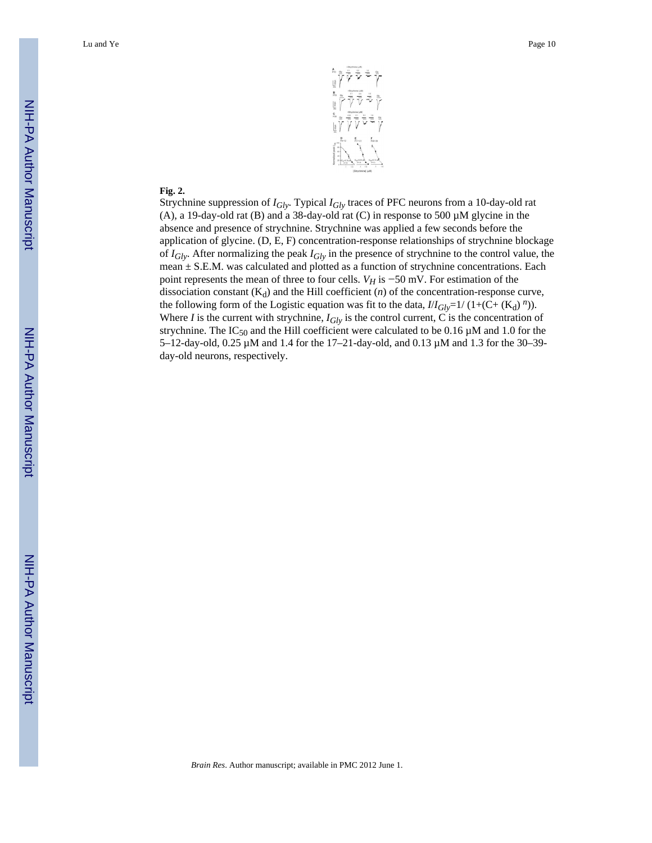

#### **Fig. 2.**

Strychnine suppression of *IGly*. Typical *IGly* traces of PFC neurons from a 10-day-old rat (A), a 19-day-old rat (B) and a 38-day-old rat (C) in response to 500  $\mu$ M glycine in the absence and presence of strychnine. Strychnine was applied a few seconds before the application of glycine. (D, E, F) concentration-response relationships of strychnine blockage of *IGly*. After normalizing the peak *IGly* in the presence of strychnine to the control value, the mean ± S.E.M. was calculated and plotted as a function of strychnine concentrations. Each point represents the mean of three to four cells.  $V_H$  is  $-50$  mV. For estimation of the dissociation constant  $(K_d)$  and the Hill coefficient  $(n)$  of the concentration-response curve, the following form of the Logistic equation was fit to the data,  $I/I_{Gly}$ =1/ (1+(C+ (K<sub>d</sub>)<sup>n</sup>)). Where *I* is the current with strychnine,  $I_{Gly}$  is the control current, C is the concentration of strychnine. The  $IC_{50}$  and the Hill coefficient were calculated to be 0.16  $\mu$ M and 1.0 for the 5–12-day-old, 0.25 µM and 1.4 for the 17–21-day-old, and 0.13 µM and 1.3 for the 30–39 day-old neurons, respectively.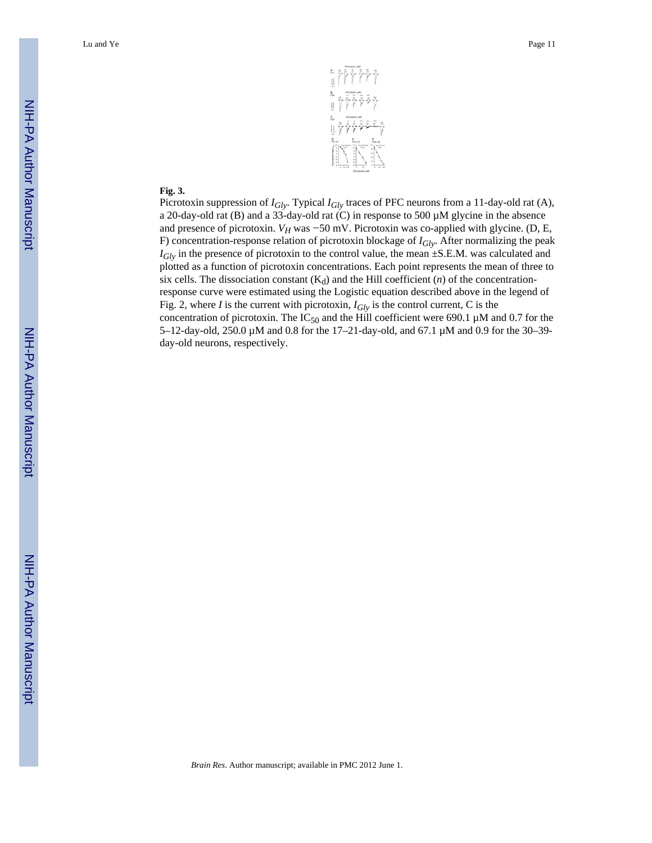

#### **Fig. 3.**

Picrotoxin suppression of *IGly*. Typical *IGly* traces of PFC neurons from a 11-day-old rat (A), a 20-day-old rat (B) and a 33-day-old rat (C) in response to 500 µM glycine in the absence and presence of picrotoxin. *V<sub>H</sub>* was  $-50$  mV. Picrotoxin was co-applied with glycine. (D, E, F) concentration-response relation of picrotoxin blockage of *IGly*. After normalizing the peak *I<sub>Gly</sub>* in the presence of picrotoxin to the control value, the mean ±S.E.M. was calculated and plotted as a function of picrotoxin concentrations. Each point represents the mean of three to six cells. The dissociation constant  $(K_d)$  and the Hill coefficient  $(n)$  of the concentrationresponse curve were estimated using the Logistic equation described above in the legend of Fig. 2, where *I* is the current with picrotoxin,  $I_{Glv}$  is the control current, C is the concentration of picrotoxin. The  $IC_{50}$  and the Hill coefficient were 690.1 µM and 0.7 for the 5–12-day-old, 250.0 µM and 0.8 for the 17–21-day-old, and 67.1 µM and 0.9 for the 30–39 day-old neurons, respectively.